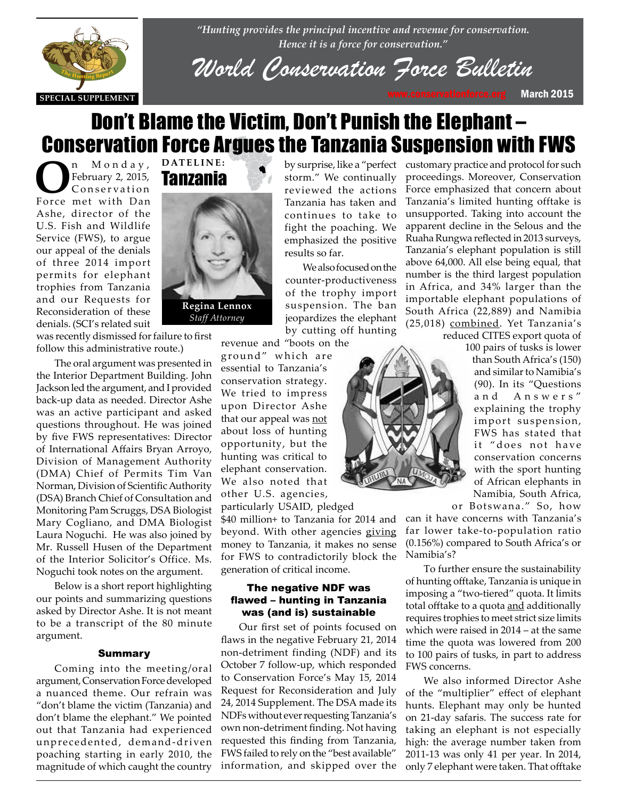

*"Hunting provides the principal incentive and revenue for conservation. Hence it is a force for conservation."*

*World Conservation Force Bulletin*

## **DATELINE:** Don't Blame the Victim, Don't Punish the Elephant – Conservation Force Argues the Tanzania Suspension with FWS

**O**n M o n d a y,<br>
February 2, 2015,<br>
Force met with Dan February 2, 2015, Force met with Dan Ashe, director of the U.S. Fish and Wildlife Service (FWS), to argue our appeal of the denials of three 2014 import permits for elephant trophies from Tanzania and our Requests for Reconsideration of these denials. (SCI's related suit



denials. (SCI's related suit<br>was recently dismissed for failure to first follow this administrative route.)

The oral argument was presented in Ine oral argument was presented in<br>the Interior Department Building. John Jackson led the argument, and I provided back-up data as needed. Director Ashe was an active participant and asked questions throughout. He was joined by five FWS representatives: Director of International Affairs Bryan Arroyo, Division of Management Authority (DMA) Chief of Permits Tim Van Norman, Division of Scientific Authority (DSA) Branch Chief of Consultation and Monitoring Pam Scruggs, DSA Biologist Mary Cogliano, and DMA Biologist Laura Noguchi. He was also joined by Mr. Russell Husen of the Department of the Interior Solicitor's Office. Ms. Noguchi took notes on the argument.

> Below is a short report highlighting our points and summarizing questions asked by Director Ashe. It is not meant to be a transcript of the 80 minute argument.

#### Summary

Coming into the meeting/oral argument, Conservation Force developed a nuanced theme. Our refrain was "don't blame the victim (Tanzania) and don't blame the elephant." We pointed out that Tanzania had experienced unprecedented, demand-driven poaching starting in early 2010, the magnitude of which caught the country

## storm." We continually reviewed the actions Tanzania has taken and continues to take to fight the poaching. We emphasized the positive results so far.

We also focused on the counter-productiveness of the trophy import suspension. The ban jeopardizes the elephant by cutting off hunting

revenue and "boots on the ground" which are essential to Tanzania's

conservation strategy. We tried to impress upon Director Ashe that our appeal was not about loss of hunting opportunity, but the hunting was critical to elephant conservation. We also noted that other U.S. agencies, particularly USAID, pledged

\$40 million+ to Tanzania for 2014 and beyond. With other agencies giving money to Tanzania, it makes no sense for FWS to contradictorily block the generation of critical income.

#### The negative NDF was flawed – hunting in Tanzania was (and is) sustainable

Our first set of points focused on flaws in the negative February 21, 2014 non-detriment finding (NDF) and its October 7 follow-up, which responded to Conservation Force's May 15, 2014 Request for Reconsideration and July 24, 2014 Supplement. The DSA made its NDFs without ever requesting Tanzania's own non-detriment finding. Not having requested this finding from Tanzania, FWS failed to rely on the "best available" information, and skipped over the

by surprise, like a "perfect customary practice and protocol for such proceedings. Moreover, Conservation Force emphasized that concern about Tanzania's limited hunting offtake is unsupported. Taking into account the apparent decline in the Selous and the Ruaha Rungwa reflected in 2013 surveys, Tanzania's elephant population is still above 64,000. All else being equal, that number is the third largest population in Africa, and 34% larger than the importable elephant populations of South Africa (22,889) and Namibia (25,018) combined. Yet Tanzania's

reduced CITES export quota of



100 pairs of tusks is lower than South Africa's (150) and similar to Namibia's (90). In its "Questions a n d A n s w e r s " explaining the trophy import suspension, FWS has stated that it "does not have conservation concerns with the sport hunting of African elephants in Namibia, South Africa,

or Botswana." So, how

can it have concerns with Tanzania's far lower take-to-population ratio (0.156%) compared to South Africa's or Namibia's?

To further ensure the sustainability of hunting offtake, Tanzania is unique in imposing a "two-tiered" quota. It limits total offtake to a quota and additionally requires trophies to meet strict size limits which were raised in 2014 – at the same time the quota was lowered from 200 to 100 pairs of tusks, in part to address FWS concerns.

We also informed Director Ashe of the "multiplier" effect of elephant hunts. Elephant may only be hunted on 21-day safaris. The success rate for taking an elephant is not especially high: the average number taken from 2011-13 was only 41 per year. In 2014, only 7 elephant were taken. That offtake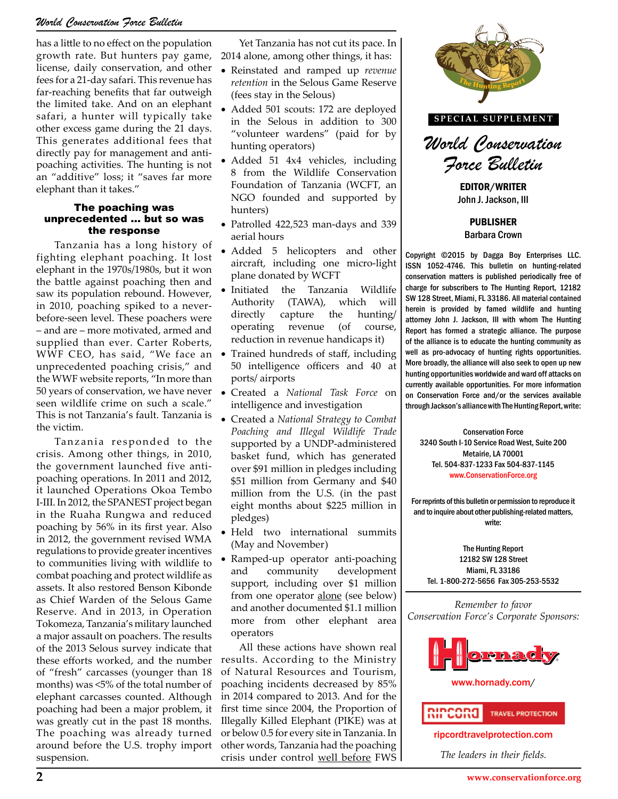### *World Conservation Force Bulletin*

has a little to no effect on the population growth rate. But hunters pay game, license, daily conservation, and other fees for a 21-day safari. This revenue has far-reaching benefits that far outweigh the limited take. And on an elephant safari, a hunter will typically take other excess game during the 21 days. This generates additional fees that directly pay for management and antipoaching activities. The hunting is not an "additive" loss; it "saves far more elephant than it takes."

#### The poaching was unprecedented … but so was the response

Tanzania has a long history of fighting elephant poaching. It lost elephant in the 1970s/1980s, but it won the battle against poaching then and saw its population rebound. However, in 2010, poaching spiked to a neverbefore-seen level. These poachers were – and are – more motivated, armed and supplied than ever. Carter Roberts, WWF CEO, has said, "We face an unprecedented poaching crisis," and the WWF website reports, "In more than 50 years of conservation, we have never seen wildlife crime on such a scale." This is not Tanzania's fault. Tanzania is the victim.

Tanzania responded to the crisis. Among other things, in 2010, the government launched five antipoaching operations. In 2011 and 2012, it launched Operations Okoa Tembo I-III. In 2012, the SPANEST project began in the Ruaha Rungwa and reduced poaching by 56% in its first year. Also in 2012, the government revised WMA regulations to provide greater incentives to communities living with wildlife to combat poaching and protect wildlife as assets. It also restored Benson Kibonde as Chief Warden of the Selous Game Reserve. And in 2013, in Operation Tokomeza, Tanzania's military launched a major assault on poachers. The results of the 2013 Selous survey indicate that these efforts worked, and the number of "fresh" carcasses (younger than 18 months) was <5% of the total number of elephant carcasses counted. Although poaching had been a major problem, it was greatly cut in the past 18 months. The poaching was already turned around before the U.S. trophy import suspension.

Yet Tanzania has not cut its pace. In 2014 alone, among other things, it has:

- • Reinstated and ramped up *revenue retention* in the Selous Game Reserve (fees stay in the Selous)
- Added 501 scouts: 172 are deployed in the Selous in addition to 300 "volunteer wardens" (paid for by hunting operators)
- Added 51 4x4 vehicles, including 8 from the Wildlife Conservation Foundation of Tanzania (WCFT, an NGO founded and supported by hunters)
- Patrolled 422,523 man-days and 339 aerial hours
- Added 5 helicopters and other aircraft, including one micro-light plane donated by WCFT
- Initiated the Tanzania Wildlife Authority (TAWA), which will directly capture the hunting/ operating revenue (of course, reduction in revenue handicaps it)
- Trained hundreds of staff, including 50 intelligence officers and 40 at ports/ airports
- Created a *National Task Force* on intelligence and investigation
- • Created a *National Strategy to Combat Poaching and Illegal Wildlife Trade* supported by a UNDP-administered basket fund, which has generated over \$91 million in pledges including \$51 million from Germany and \$40 million from the U.S. (in the past eight months about \$225 million in pledges)
- • Held two international summits (May and November)
- Ramped-up operator anti-poaching and community development support, including over \$1 million from one operator alone (see below) and another documented \$1.1 million more from other elephant area operators

All these actions have shown real results. According to the Ministry of Natural Resources and Tourism, poaching incidents decreased by 85% in 2014 compared to 2013. And for the first time since 2004, the Proportion of Illegally Killed Elephant (PIKE) was at or below 0.5 for every site in Tanzania. In other words, Tanzania had the poaching crisis under control well before FWS



**SPECIAL SUPPLEMENT**



EDITOR/WRITER John J. Jackson, III

> PUBLISHER Barbara Crown

Copyright ©2015 by Dagga Boy Enterprises LLC. ISSN 1052-4746. This bulletin on hunting-related conservation matters is published periodically free of charge for subscribers to The Hunting Report, 12182 SW 128 Street, Miami, FL 33186. All material contained herein is provided by famed wildlife and hunting attorney John J. Jackson, III with whom The Hunting Report has formed a strategic alliance. The purpose of the alliance is to educate the hunting community as well as pro-advocacy of hunting rights opportunities. More broadly, the alliance will also seek to open up new hunting opportunities worldwide and ward off attacks on currently available opportunities. For more information *Itional Task Force* on on Conservation Force and/or the services available<br>d investigation<br> $T_{\text{eff}}$ through Jackson's alliance with The Hunting Report, write:

Conservation Force 3240 South I-10 Service Road West, Suite 200 Metairie, LA 70001 which has generated<br>
m in pledges including<br>
The 504-837-1233 Fax 504-837-1145 www.ConservationForce.org

> For reprints of this bulletin or permission to reproduce it and to inquire about other publishing-related matters, write:

The Hunting Report 12182 SW 128 Street Miami, FL 33186 Tel. 1-800-272-5656 Fax 305-253-5532

*Remember to favor Conservation Force's Corporate Sponsors:*



www.hornady.com/



ripcordtravelprotection.com

*The leaders in their fields.*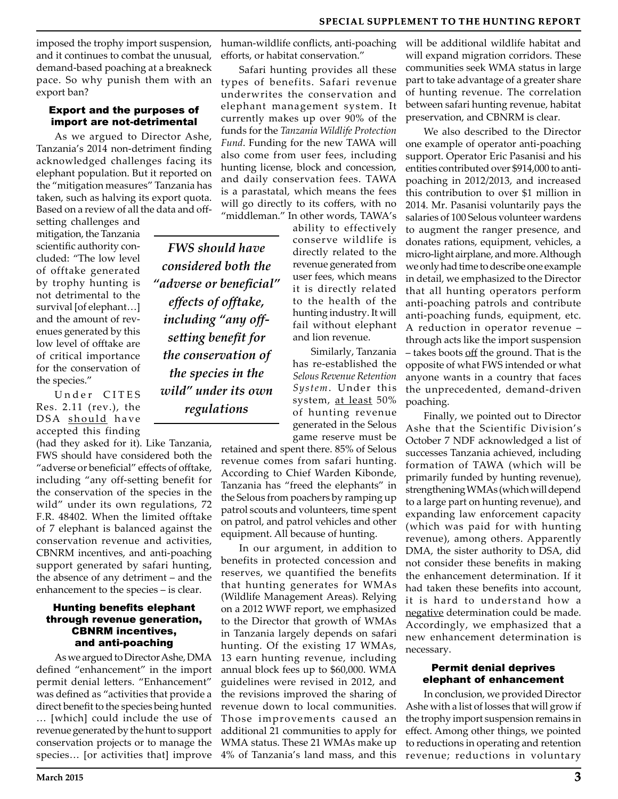imposed the trophy import suspension, and it continues to combat the unusual, demand-based poaching at a breakneck pace. So why punish them with an export ban?

#### Export and the purposes of import are not-detrimental

As we argued to Director Ashe, Tanzania's 2014 non-detriment finding acknowledged challenges facing its elephant population. But it reported on the "mitigation measures" Tanzania has taken, such as halving its export quota. Based on a review of all the data and off-

setting challenges and mitigation, the Tanzania scientific authority concluded: "The low level of offtake generated by trophy hunting is not detrimental to the survival [of elephant…] and the amount of revenues generated by this low level of offtake are of critical importance for the conservation of the species."

Under CITES Res. 2.11 (rev.), the DSA should have accepted this finding

(had they asked for it). Like Tanzania, FWS should have considered both the "adverse or beneficial" effects of offtake, including "any off-setting benefit for the conservation of the species in the wild" under its own regulations, 72 F.R. 48402. When the limited offtake of 7 elephant is balanced against the conservation revenue and activities, CBNRM incentives, and anti-poaching support generated by safari hunting, the absence of any detriment – and the enhancement to the species – is clear.

#### Hunting benefits elephant through revenue generation, CBNRM incentives, and anti-poaching

As we argued to Director Ashe, DMA defined "enhancement" in the import permit denial letters. "Enhancement" was defined as "activities that provide a direct benefit to the species being hunted … [which] could include the use of revenue generated by the hunt to support conservation projects or to manage the species... [or activities that] improve human-wildlife conflicts, anti-poaching efforts, or habitat conservation."

Safari hunting provides all these types of benefits. Safari revenue underwrites the conservation and elephant management system. It currently makes up over 90% of the funds for the *Tanzania Wildlife Protection Fund*. Funding for the new TAWA will also come from user fees, including hunting license, block and concession, and daily conservation fees. TAWA is a parastatal, which means the fees will go directly to its coffers, with no "middleman." In other words, TAWA's

*FWS should have considered both the "adverse or beneficial" effects of offtake, including "any offsetting benefit for the conservation of the species in the wild" under its own regulations*

ability to effectively conserve wildlife is directly related to the revenue generated from user fees, which means it is directly related to the health of the hunting industry. It will fail without elephant and lion revenue.

Similarly, Tanzania has re-established the *Selous Revenue Retention System*. Under this system, at least 50% of hunting revenue generated in the Selous game reserve must be

retained and spent there. 85% of Selous revenue comes from safari hunting. According to Chief Warden Kibonde, Tanzania has "freed the elephants" in the Selous from poachers by ramping up patrol scouts and volunteers, time spent on patrol, and patrol vehicles and other equipment. All because of hunting.

In our argument, in addition to benefits in protected concession and reserves, we quantified the benefits that hunting generates for WMAs (Wildlife Management Areas). Relying on a 2012 WWF report, we emphasized to the Director that growth of WMAs in Tanzania largely depends on safari hunting. Of the existing 17 WMAs, 13 earn hunting revenue, including annual block fees up to \$60,000. WMA guidelines were revised in 2012, and the revisions improved the sharing of revenue down to local communities. Those improvements caused an additional 21 communities to apply for WMA status. These 21 WMAs make up 4% of Tanzania's land mass, and this will be additional wildlife habitat and will expand migration corridors. These communities seek WMA status in large part to take advantage of a greater share of hunting revenue. The correlation between safari hunting revenue, habitat preservation, and CBNRM is clear.

We also described to the Director one example of operator anti-poaching support. Operator Eric Pasanisi and his entities contributed over \$914,000 to antipoaching in 2012/2013, and increased this contribution to over \$1 million in 2014. Mr. Pasanisi voluntarily pays the salaries of 100 Selous volunteer wardens to augment the ranger presence, and donates rations, equipment, vehicles, a micro-light airplane, and more. Although we only had time to describe one example in detail, we emphasized to the Director that all hunting operators perform anti-poaching patrols and contribute anti-poaching funds, equipment, etc. A reduction in operator revenue – through acts like the import suspension – takes boots off the ground. That is the opposite of what FWS intended or what anyone wants in a country that faces the unprecedented, demand-driven poaching.

Finally, we pointed out to Director Ashe that the Scientific Division's October 7 NDF acknowledged a list of successes Tanzania achieved, including formation of TAWA (which will be primarily funded by hunting revenue), strengthening WMAs (which will depend to a large part on hunting revenue), and expanding law enforcement capacity (which was paid for with hunting revenue), among others. Apparently DMA, the sister authority to DSA, did not consider these benefits in making the enhancement determination. If it had taken these benefits into account, it is hard to understand how a negative determination could be made. Accordingly, we emphasized that a new enhancement determination is necessary.

#### Permit denial deprives elephant of enhancement

In conclusion, we provided Director Ashe with a list of losses that will grow if the trophy import suspension remains in effect. Among other things, we pointed to reductions in operating and retention revenue; reductions in voluntary